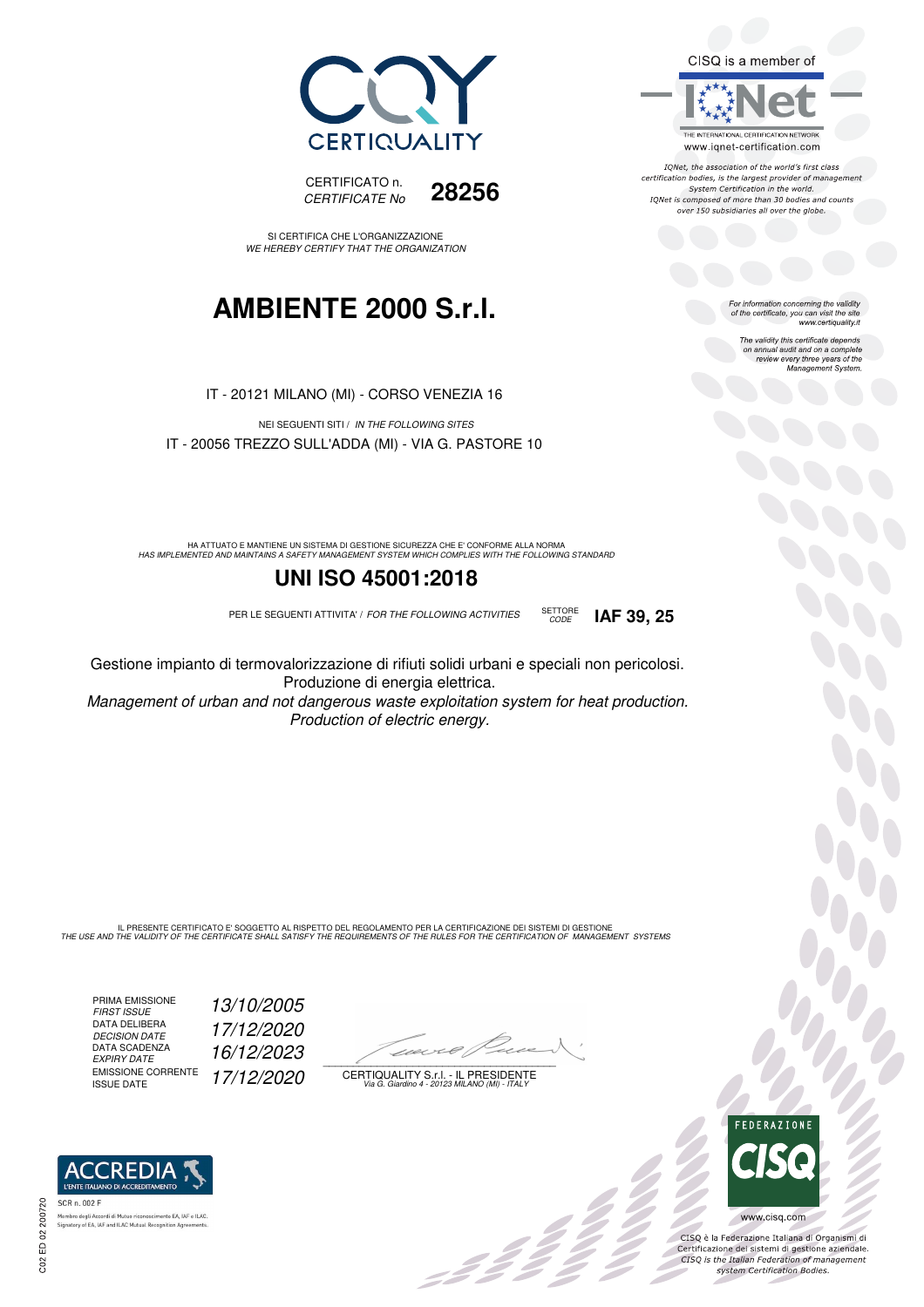



SI CERTIFICA CHE L'ORGANIZZAZIONE WE HEREBY CERTIFY THAT THE ORGANIZATION

## **AMBIENTE 2000 S.r.l.**

IT - 20121 MILANO (MI) - CORSO VENEZIA 16

NEI SEGUENTI SITI / IN THE FOLLOWING SITES IT - 20056 TREZZO SULL'ADDA (MI) - VIA G. PASTORE 10

HA ATTUATO E MANTIENE UN SISTEMA DI GESTIONE SICUREZZA CHE E' CONFORME ALLA NORMA<br>HAS IMPLEMENTED AND MAINTAINS A SAFETY MANAGEMENT SYSTEM WHICH COMPLIES WITH THE FOLLOWING STANDARD

### **UNI ISO 45001:2018**

PER LE SEGUENTI ATTIVITA' / FOR THE FOLLOWING ACTIVITIES SETTORE

Gestione impianto di termovalorizzazione di rifiuti solidi urbani e speciali non pericolosi. Produzione di energia elettrica.

Management of urban and not dangerous waste exploitation system for heat production. Production of electric energy.

IL PRESENTE CERTIFICATO E' SOGGETTO AL RISPETTO DEL REGOLAMENTO PER LA CERTIFICAZIONE DEI SISTEMI DI GESTIONE<br>THE USE AND THE VALIDITY OF THE CERTIFICATE SHALL SATISFY THE REQUIREMENTS OF THE RULES FOR THE CERTIFICATION OF

PRIMA EMISSIONE FIRST ISSUE 13/10/2005 DATA DELIBERA DECISION DATE<br>DATA SCADENZA<br>EXPIRY DATE EMISSIONE CORRENTE<br>ISSUE DATE

17/12/2020 EXPIRY DATE 16/12/2023 17/12/2020

 $\overline{\phantom{a}}$ 

: 12 °

CERTIQUALITY S.r.l. - IL PRESIDENTE Via G. Giardino 4 - 20123 MILANO (MI) - ITALY



IONet, the association of the world's first class certification bodies, is the largest provider of management System Certification in the world. IQNet is composed of more than 30 bodies and counts over 150 subsidiaries all over the globe.

CODE **IAF 39, 25**

For information concerning the validity<br>of the certificate, you can visit the site<br>www.certiquality.it

The validity this certificate depends on annual audit and on a complete review every three years of the Management System.



CISQ è la Federazione Italiana di Organismi di Certificazione dei sistemi di gestione aziendale.<br>CISQ is the Italian Federation of management system Certification Bodies.



.<br>Membro degli Accordi di Mutuo riconoscimento EA, IAF<br>Signatory of EA, IAF and ILAC Mutual Recognition Agree nento EA, IAF e ILAC